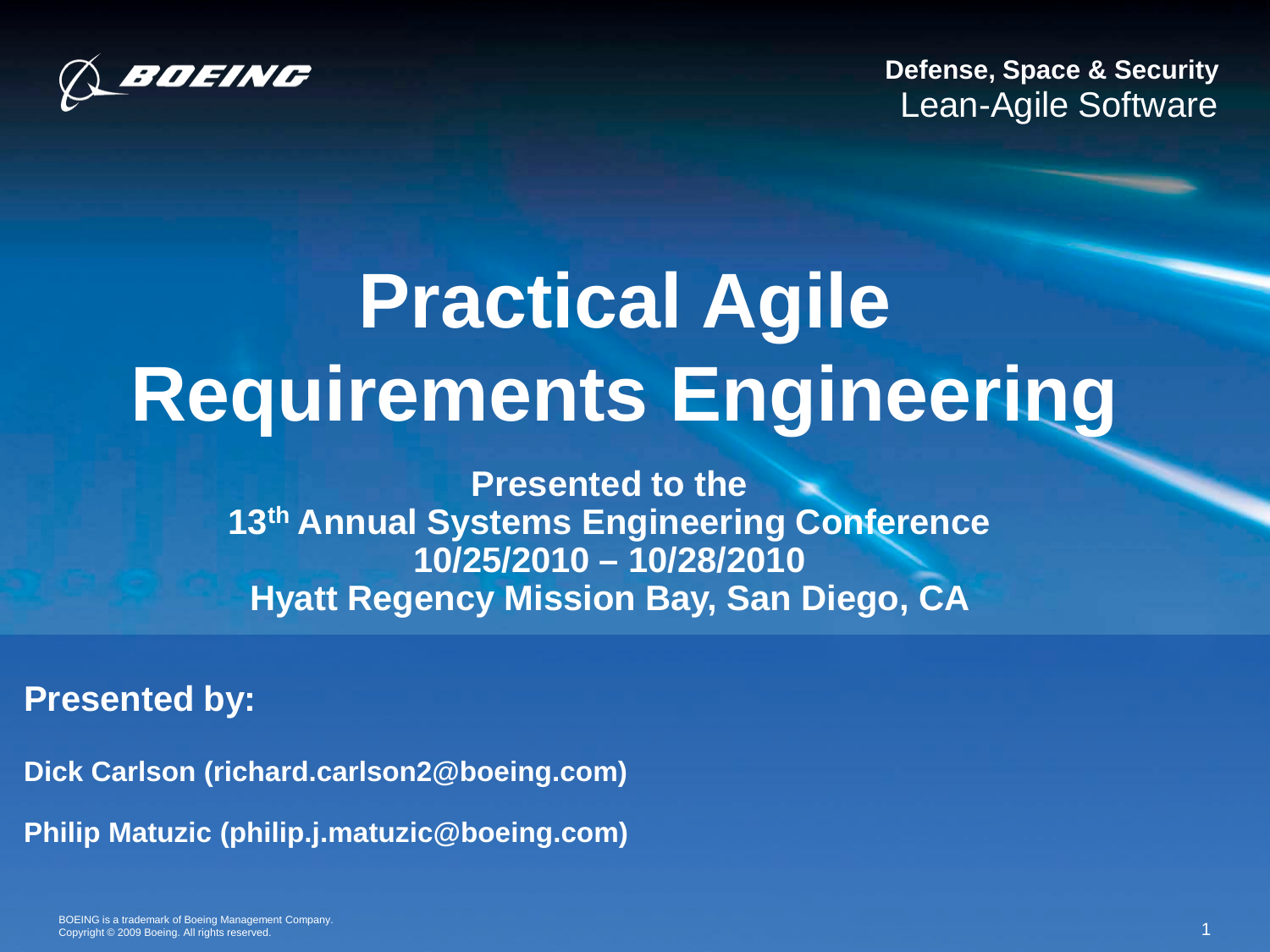

**Defense, Space & Security** Lean-Agile Software

# **Practical Agile Requirements Engineering**

**Presented to the 13th Annual Systems Engineering Conference 10/25/2010 – 10/28/2010 Hyatt Regency Mission Bay, San Diego, CA** 

#### **Presented by:**

**Dick Carlson (richard.carlson2@boeing.com) Philip Matuzic (philip.j.matuzic@boeing.com)**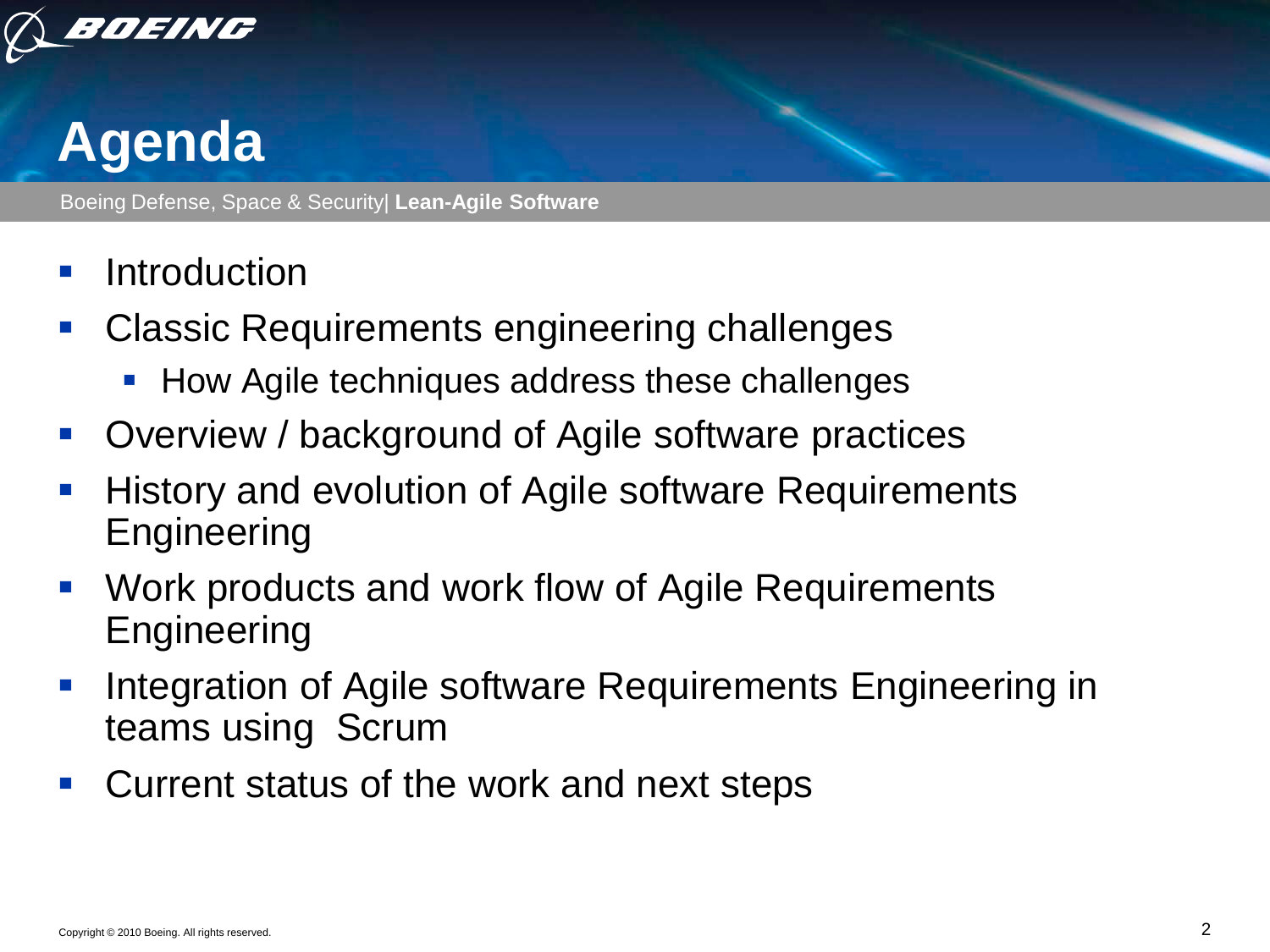

### **Agenda**

- **Introduction**
- **Classic Requirements engineering challenges** 
	- How Agile techniques address these challenges
- **Diamage 1 Step 20 Terms 10 Step 20 Terms** 1 Overview / background of Agile software practices
- **History and evolution of Agile software Requirements** Engineering
- Work products and work flow of Agile Requirements Engineering
- **Integration of Agile software Requirements Engineering in** teams using Scrum
- Current status of the work and next steps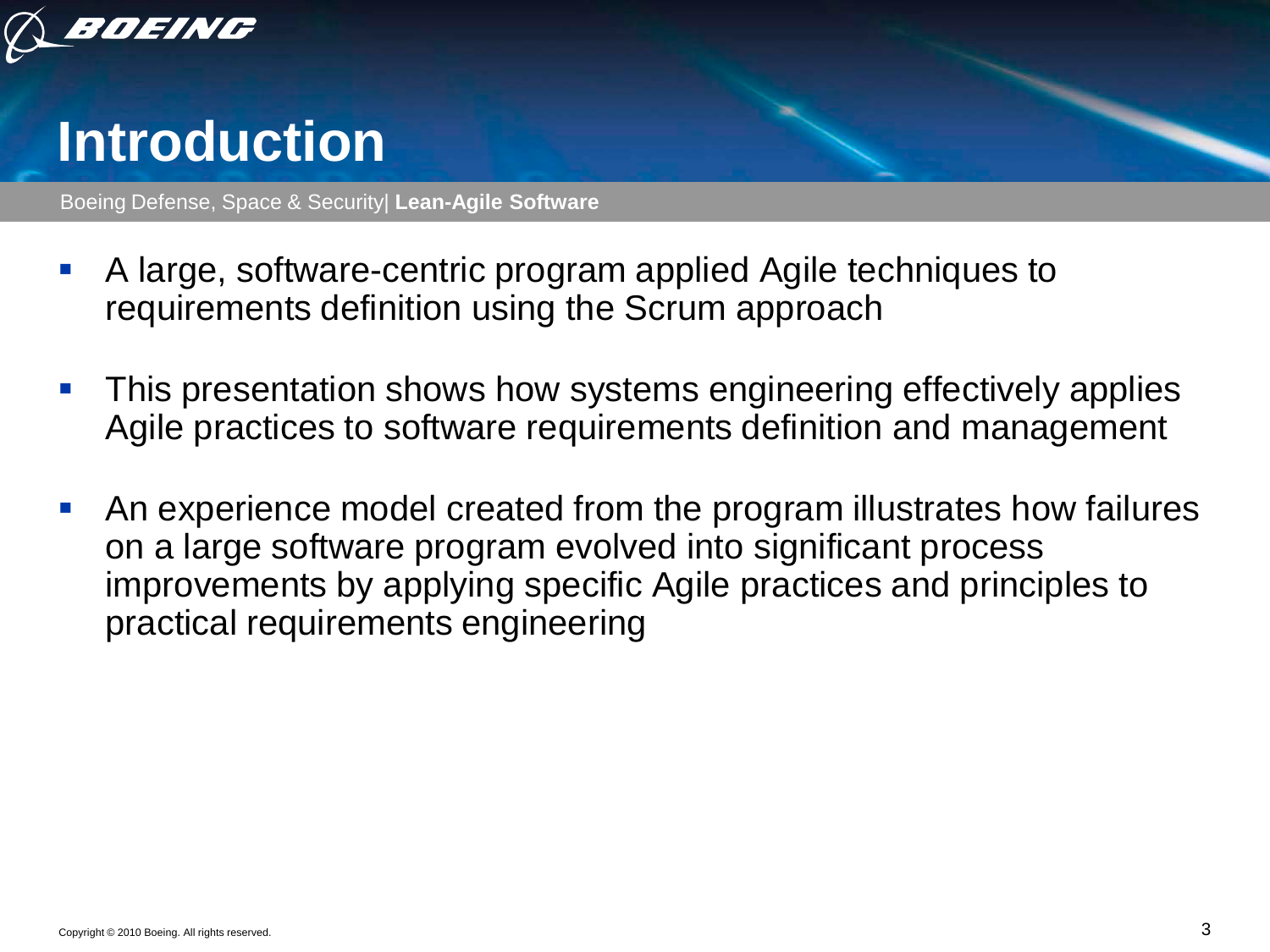

#### **Introduction**

- A large, software-centric program applied Agile techniques to requirements definition using the Scrum approach
- This presentation shows how systems engineering effectively applies Agile practices to software requirements definition and management
- An experience model created from the program illustrates how failures on a large software program evolved into significant process improvements by applying specific Agile practices and principles to practical requirements engineering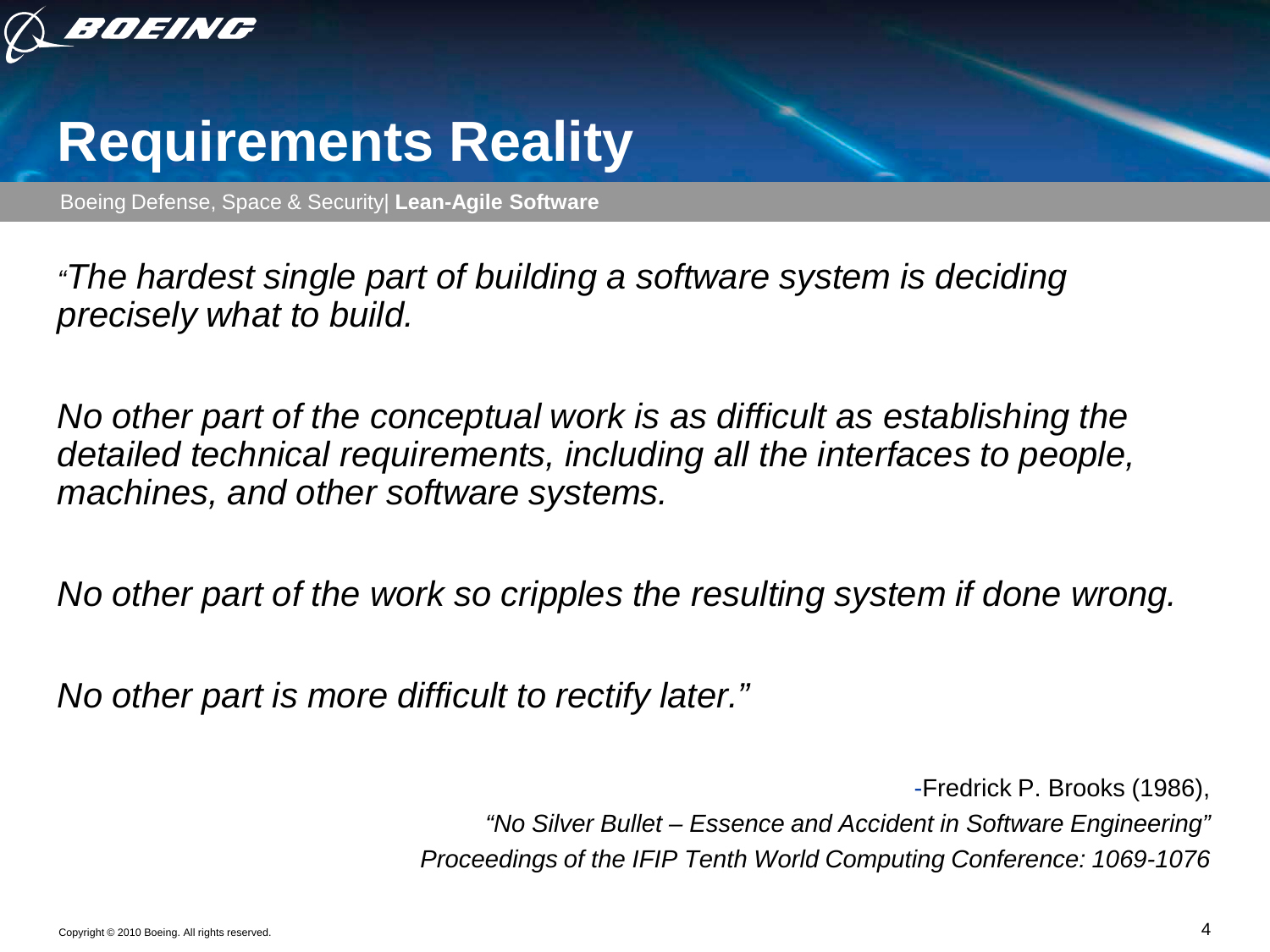

#### **Requirements Reality**

Boeing Defense, Space & Security| **Lean-Agile Software**

*"The hardest single part of building a software system is deciding precisely what to build.*

*No other part of the conceptual work is as difficult as establishing the detailed technical requirements, including all the interfaces to people, machines, and other software systems.*

*No other part of the work so cripples the resulting system if done wrong.*

*No other part is more difficult to rectify later."*

-Fredrick P. Brooks (1986), *"No Silver Bullet – Essence and Accident in Software Engineering" Proceedings of the IFIP Tenth World Computing Conference: 1069-1076*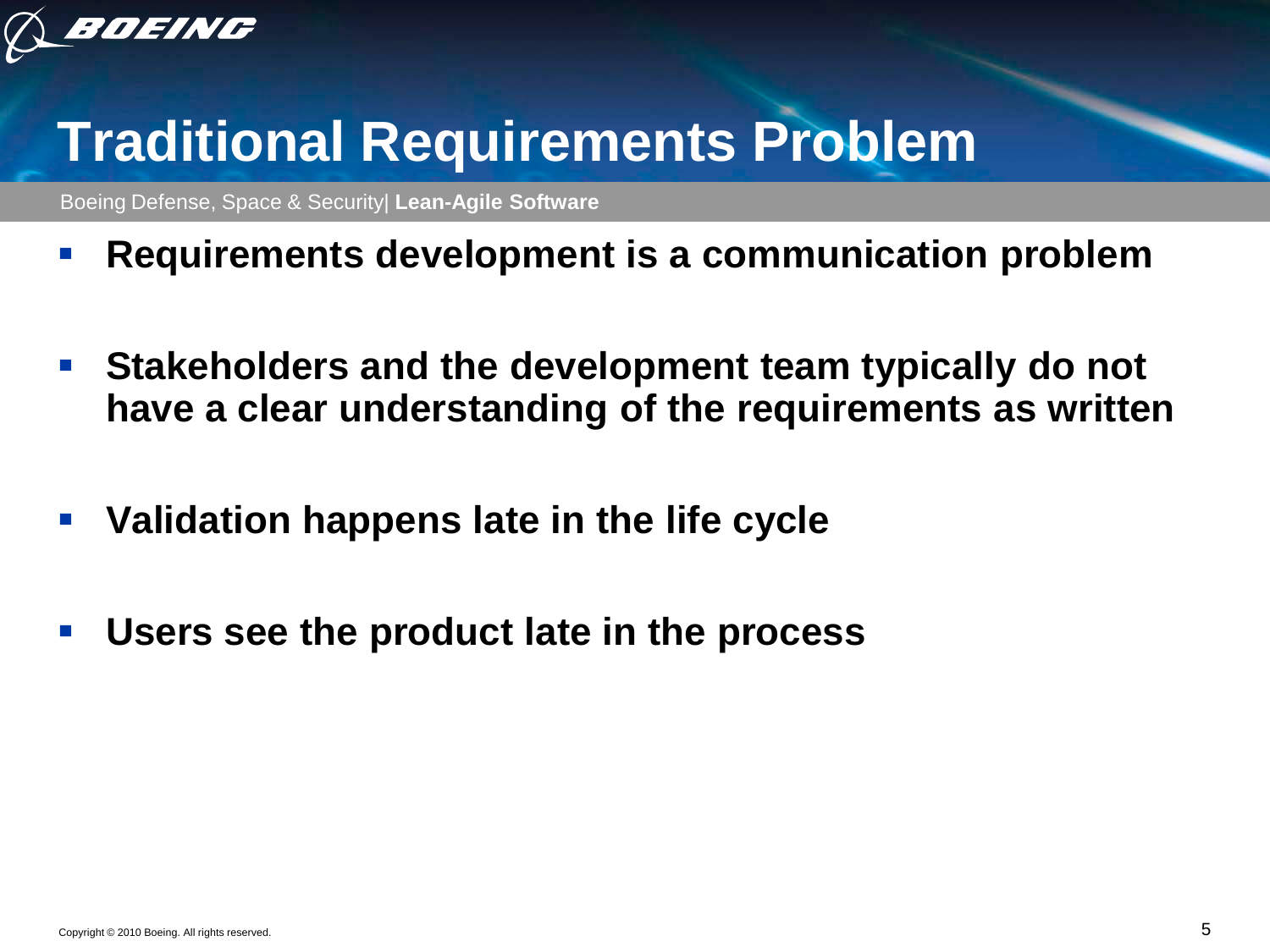

### **Traditional Requirements Problem**

- **Requirements development is a communication problem**
- **Stakeholders and the development team typically do not have a clear understanding of the requirements as written**
- **Validation happens late in the life cycle**
- **Users see the product late in the process**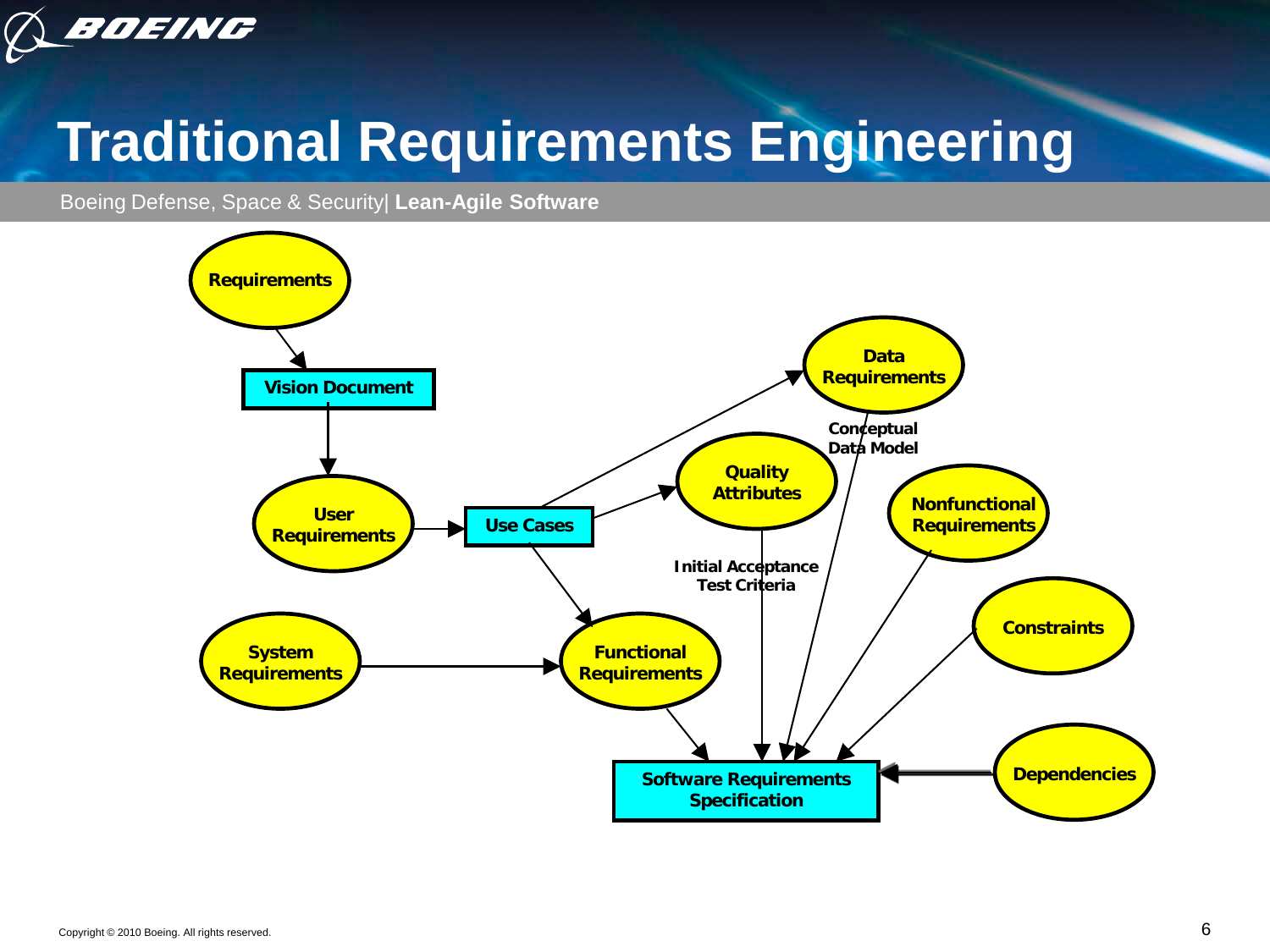

# **Traditional Requirements Engineering**

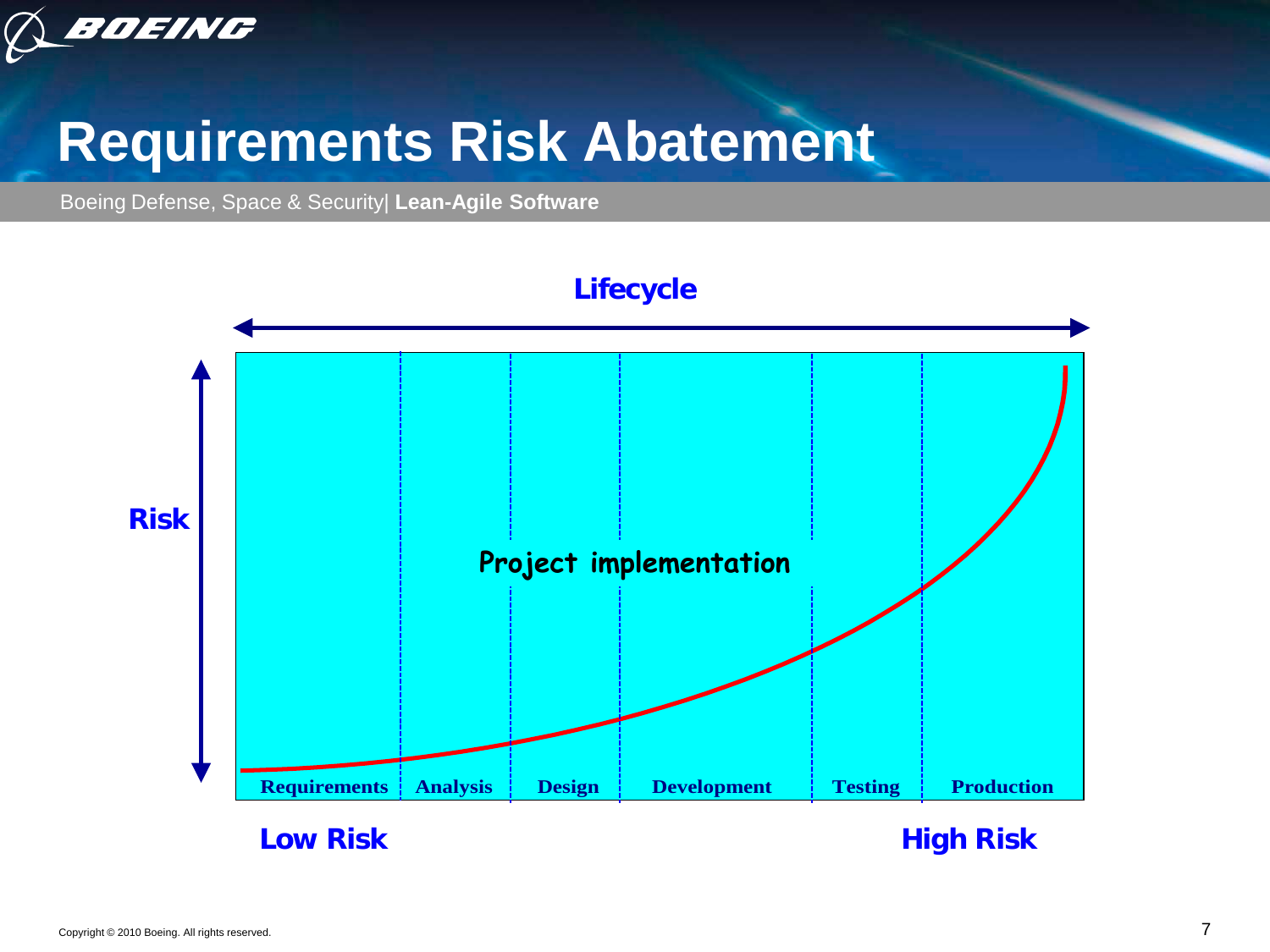

#### **Requirements Risk Abatement**

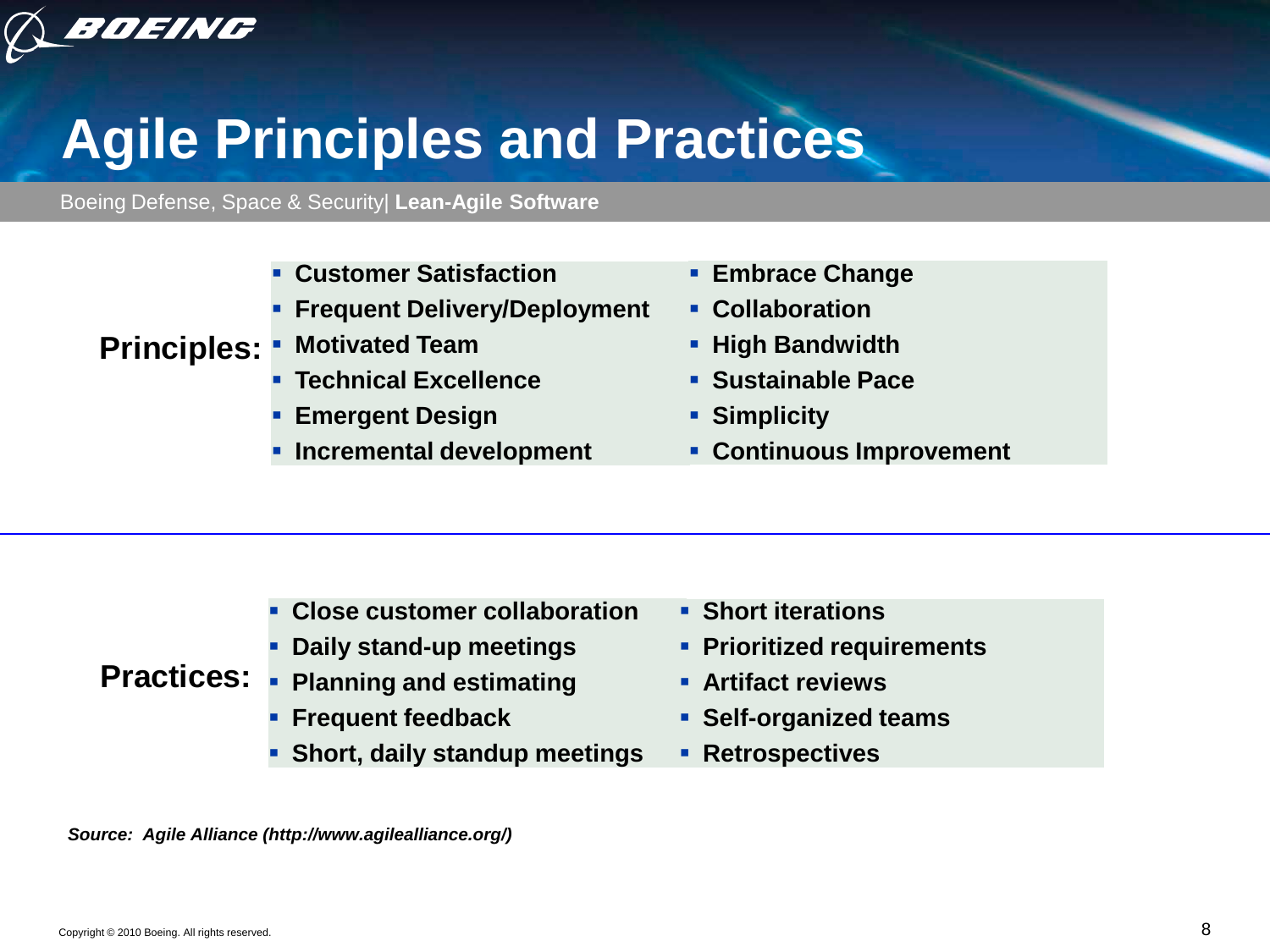

## **Agile Principles and Practices**

Boeing Defense, Space & Security| **Lean-Agile Software**

- **Customer Satisfaction**
- **Filter Steauent Delivery/Deployment**
- **Principles: Motivated Team**
	- **Technical Excellence**
	- **Emergent Design**
	- **Incremental development**
- **Embrace Change**
- **Collaboration**
- **High Bandwidth**
- **Sustainable Pace**
- **Simplicity**
- **Continuous Improvement**

- **Close customer collaboration**
- **Daily stand-up meetings**
- **Practices: Planning and estimating**
	- **Frequent feedback**
	- **Short, daily standup meetings**
- **Short iterations**
- **Prioritized requirements**
- **Artifact reviews**
- **Self-organized teams**
- **Retrospectives**

*Source: Agile Alliance (http://www.agilealliance.org/)*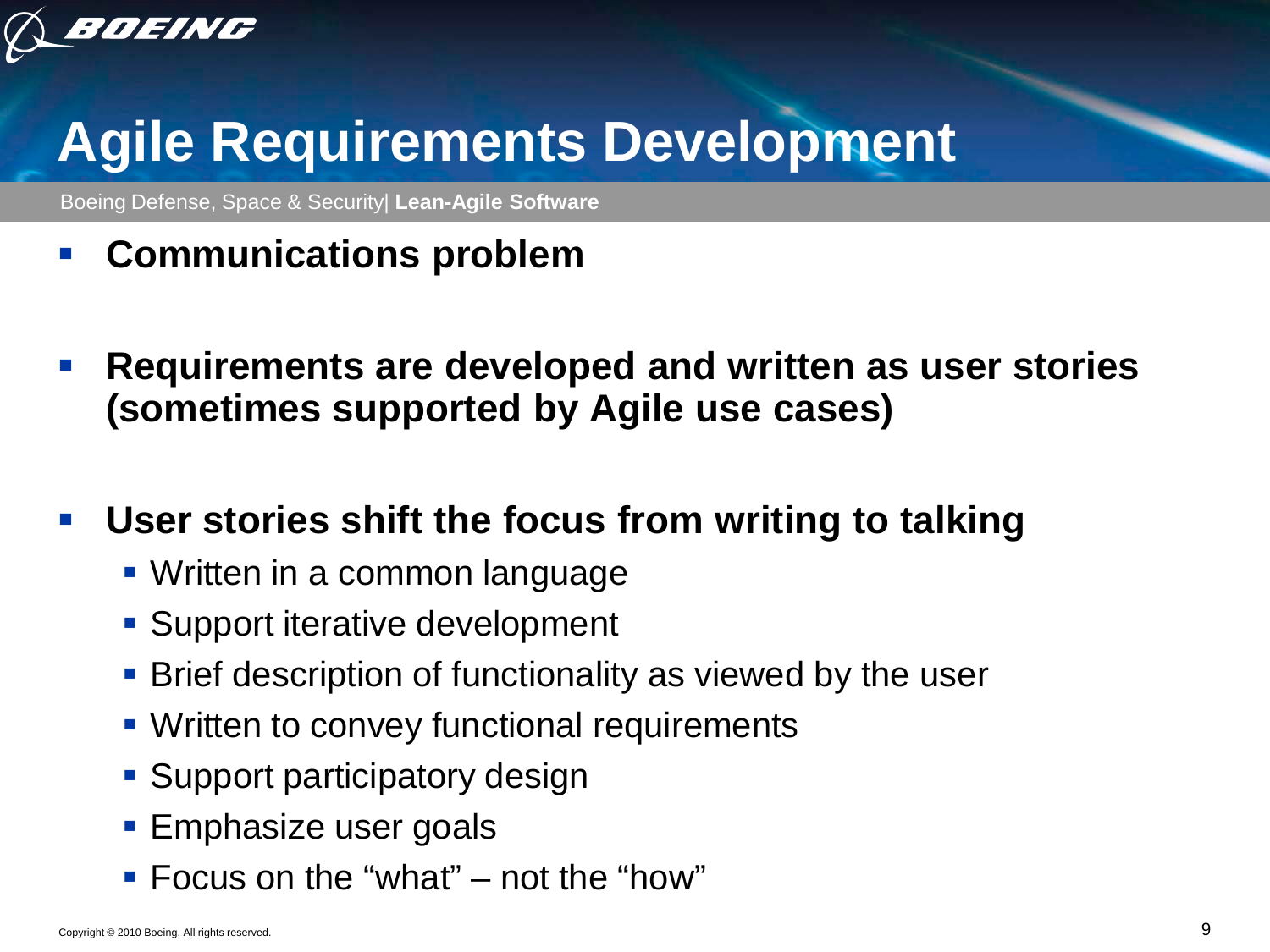

## **Agile Requirements Development**

Boeing Defense, Space & Security| **Lean-Agile Software**

- **Communications problem**
- **Requirements are developed and written as user stories (sometimes supported by Agile use cases)**

#### **User stories shift the focus from writing to talking**

- Written in a common language
- Support iterative development
- **Brief description of functionality as viewed by the user**
- **Written to convey functional requirements**
- **Support participatory design**
- **Emphasize user goals**
- Focus on the "what" not the "how"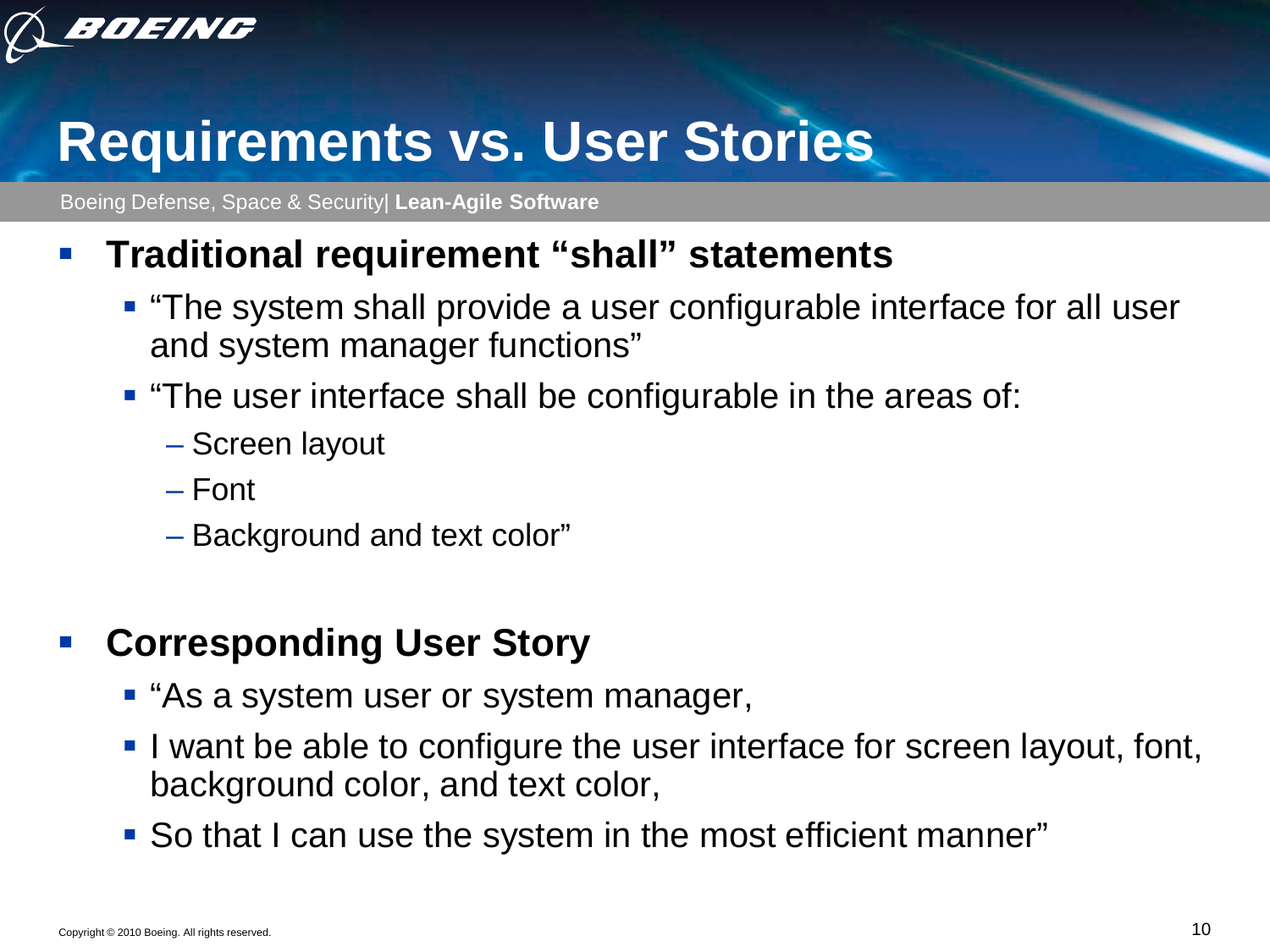

#### **Requirements vs. User Stories**

Boeing Defense, Space & Security| **Lean-Agile Software**

#### **Traditional requirement "shall" statements**

- **The system shall provide a user configurable interface for all user** and system manager functions"
- **The user interface shall be configurable in the areas of:** 
	- Screen layout
	- Font
	- Background and text color"

#### **Corresponding User Story**

- **E** "As a system user or system manager,
- I want be able to configure the user interface for screen layout, font, background color, and text color,
- So that I can use the system in the most efficient manner"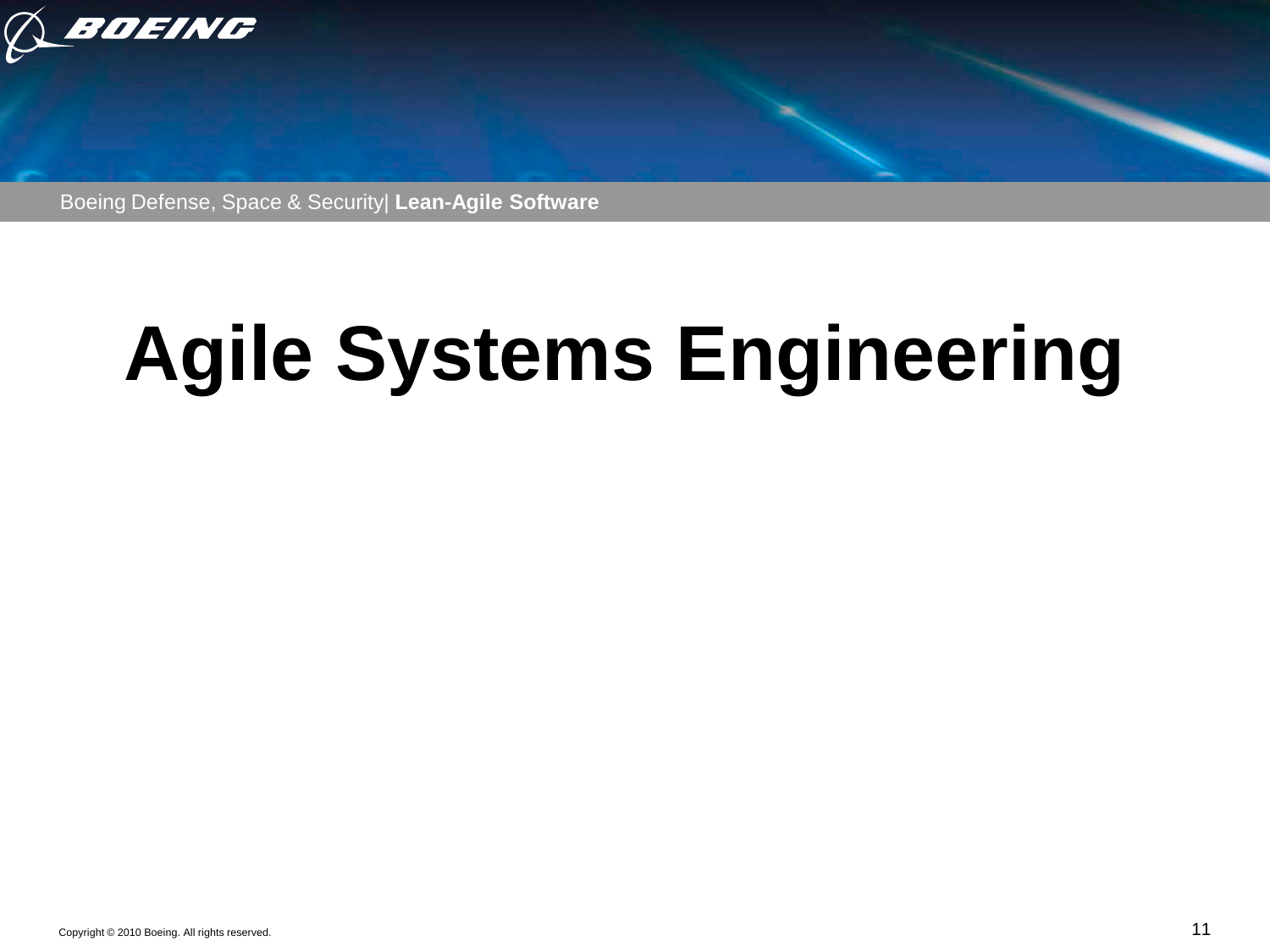

Boeing Defense, Space & Security| **Lean-Agile Software**

# **Agile Systems Engineering**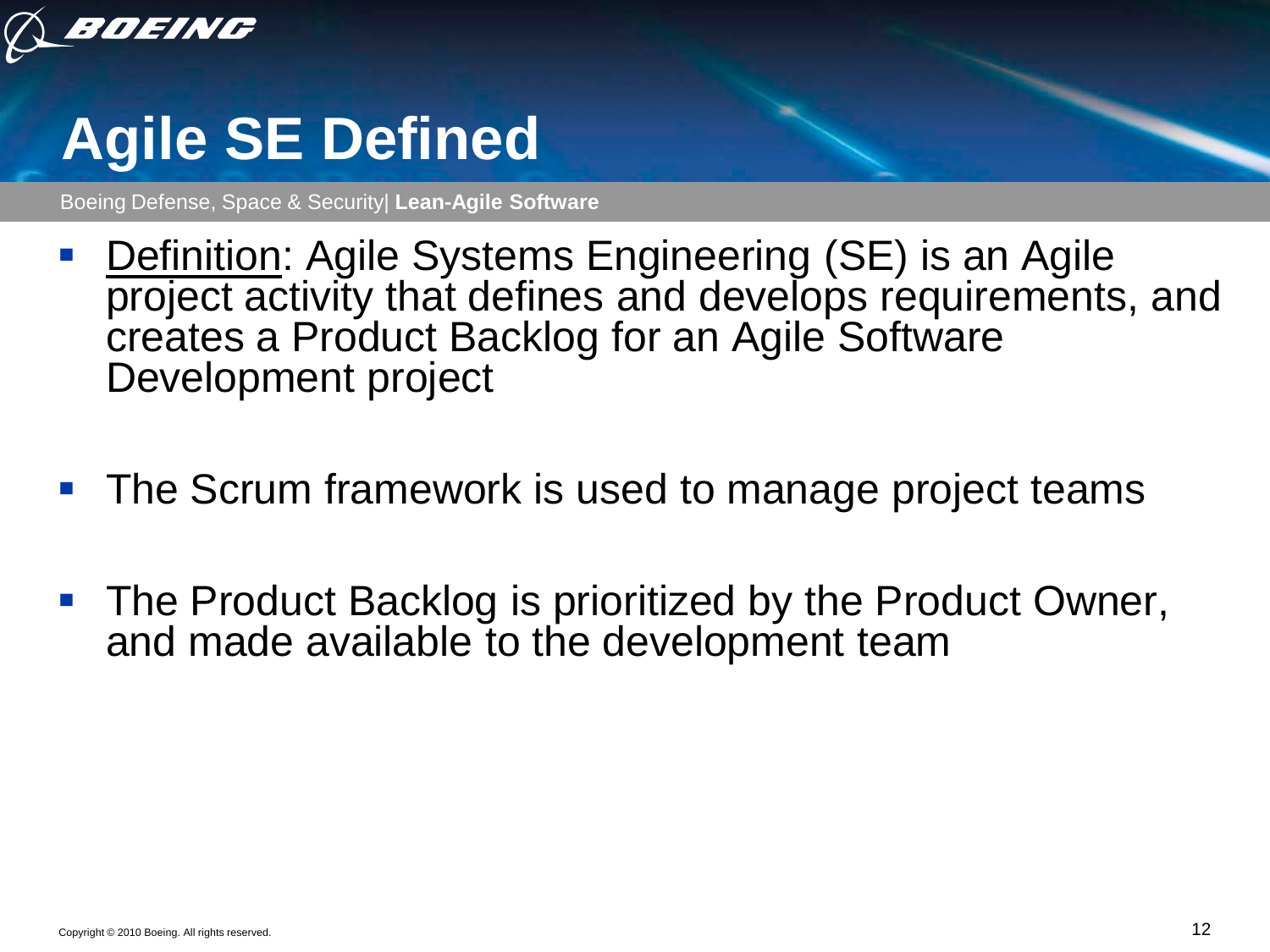

# **Agile SE Defined**

- **Definition: Agile Systems Engineering (SE) is an Agile** project activity that defines and develops requirements, and creates a Product Backlog for an Agile Software Development project
- **The Scrum framework is used to manage project teams**
- The Product Backlog is prioritized by the Product Owner, and made available to the development team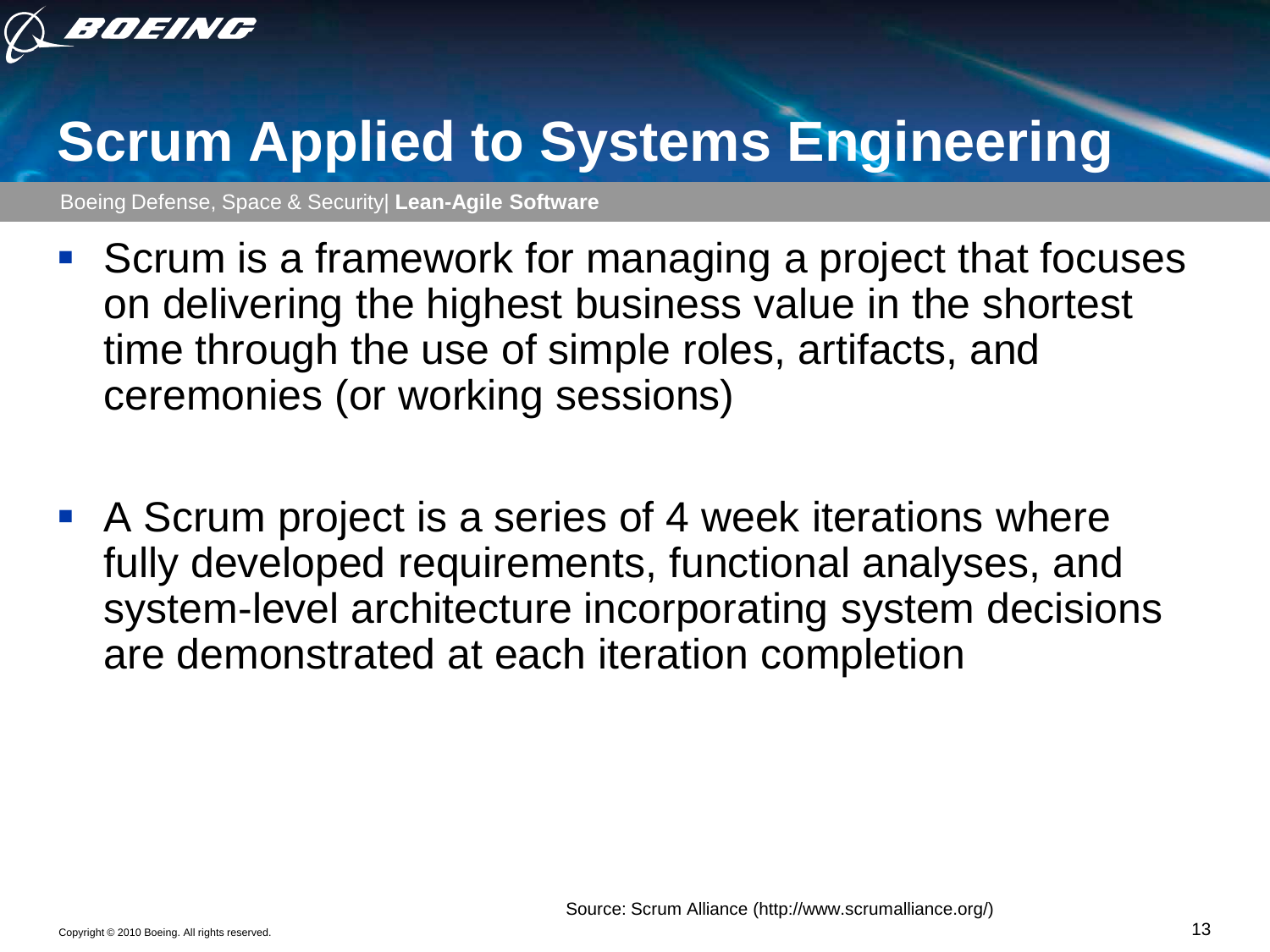

## **Scrum Applied to Systems Engineering**

- **Scrum is a framework for managing a project that focuses** on delivering the highest business value in the shortest time through the use of simple roles, artifacts, and ceremonies (or working sessions)
- A Scrum project is a series of 4 week iterations where fully developed requirements, functional analyses, and system-level architecture incorporating system decisions are demonstrated at each iteration completion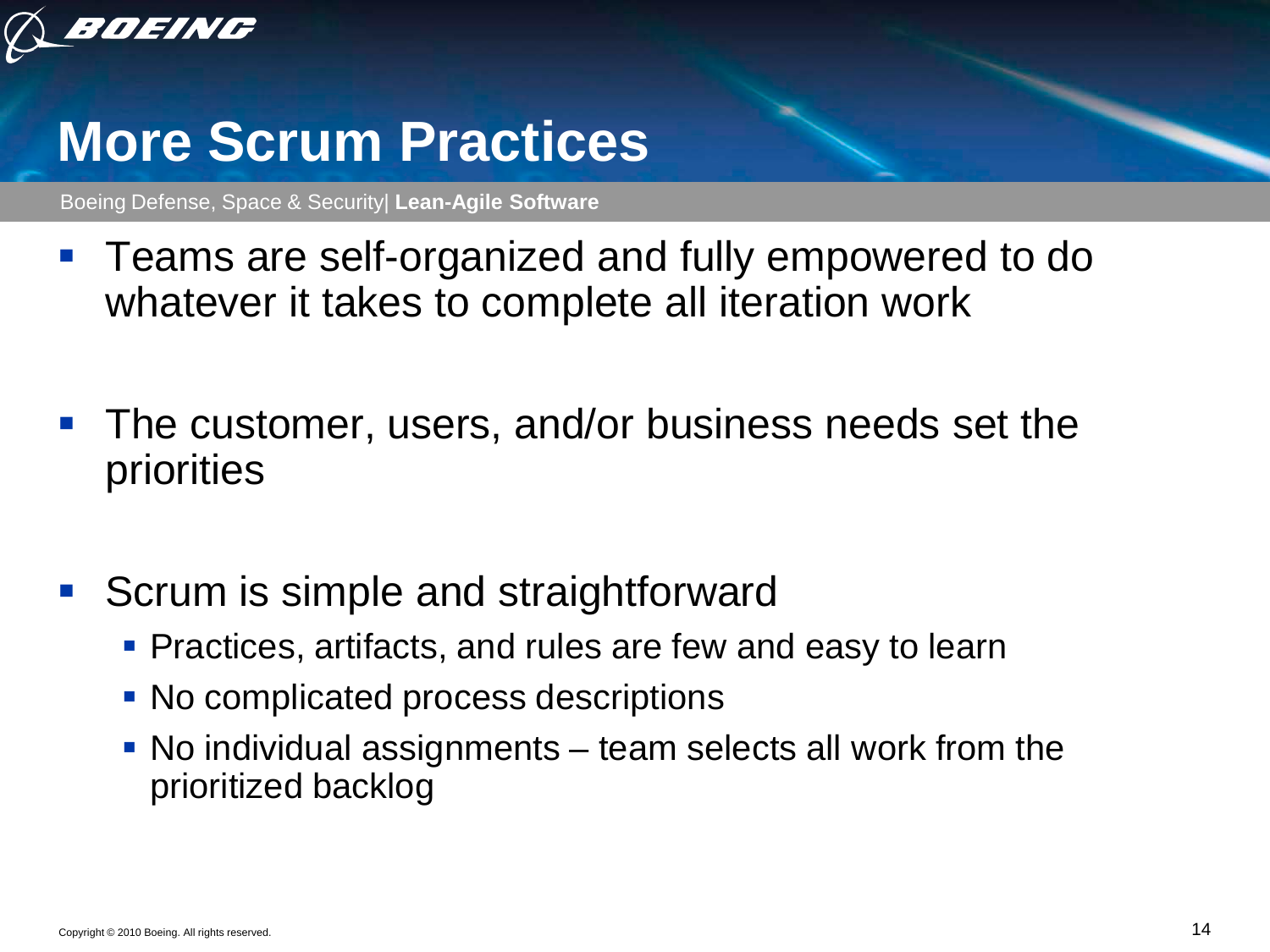

#### **More Scrum Practices**

- **Teams are self-organized and fully empowered to do** whatever it takes to complete all iteration work
- The customer, users, and/or business needs set the priorities
- **Scrum is simple and straightforward** 
	- **Practices, artifacts, and rules are few and easy to learn**
	- No complicated process descriptions
	- No individual assignments team selects all work from the prioritized backlog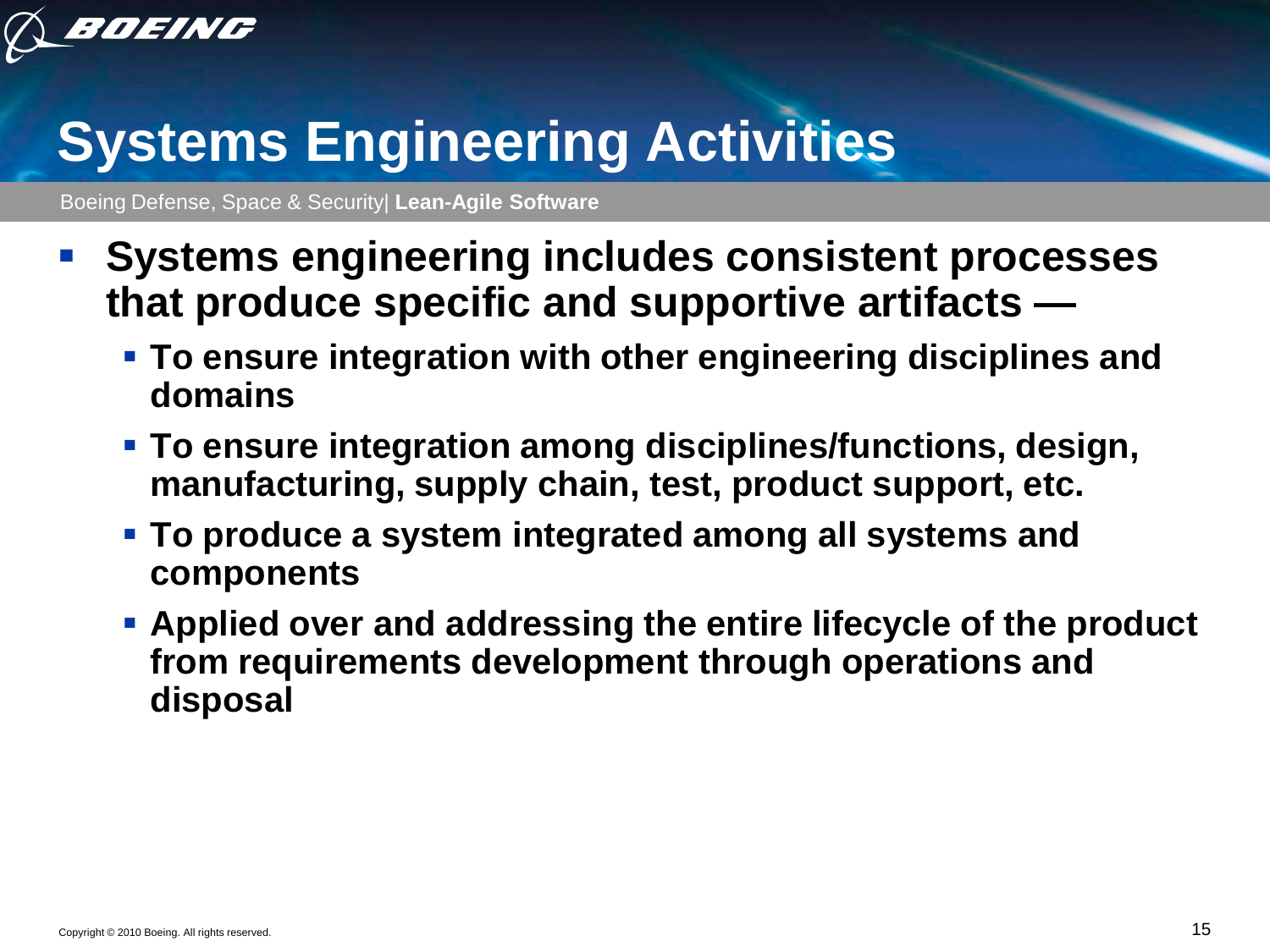

# **Systems Engineering Activities**

- **Systems engineering includes consistent processes that produce specific and supportive artifacts —**
	- **To ensure integration with other engineering disciplines and domains**
	- **To ensure integration among disciplines/functions, design, manufacturing, supply chain, test, product support, etc.**
	- **To produce a system integrated among all systems and components**
	- **Applied over and addressing the entire lifecycle of the product from requirements development through operations and disposal**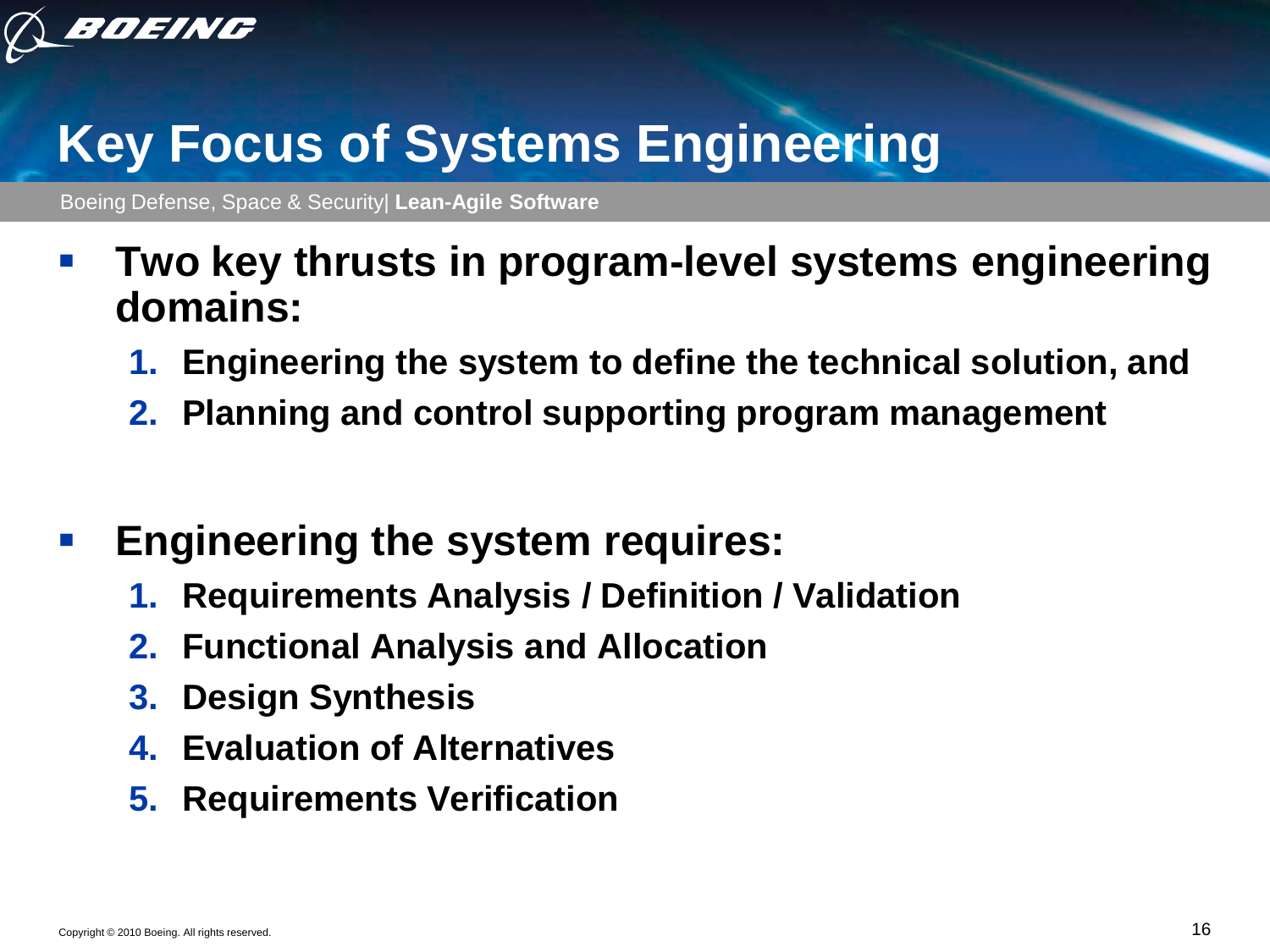

#### **Key Focus of Systems Engineering**

- **Two key thrusts in program-level systems engineering domains:**
	- **1. Engineering the system to define the technical solution, and**
	- **2. Planning and control supporting program management**
- **Engineering the system requires:**
	- **1. Requirements Analysis / Definition / Validation**
	- **2. Functional Analysis and Allocation**
	- **3. Design Synthesis**
	- **4. Evaluation of Alternatives**
	- **5. Requirements Verification**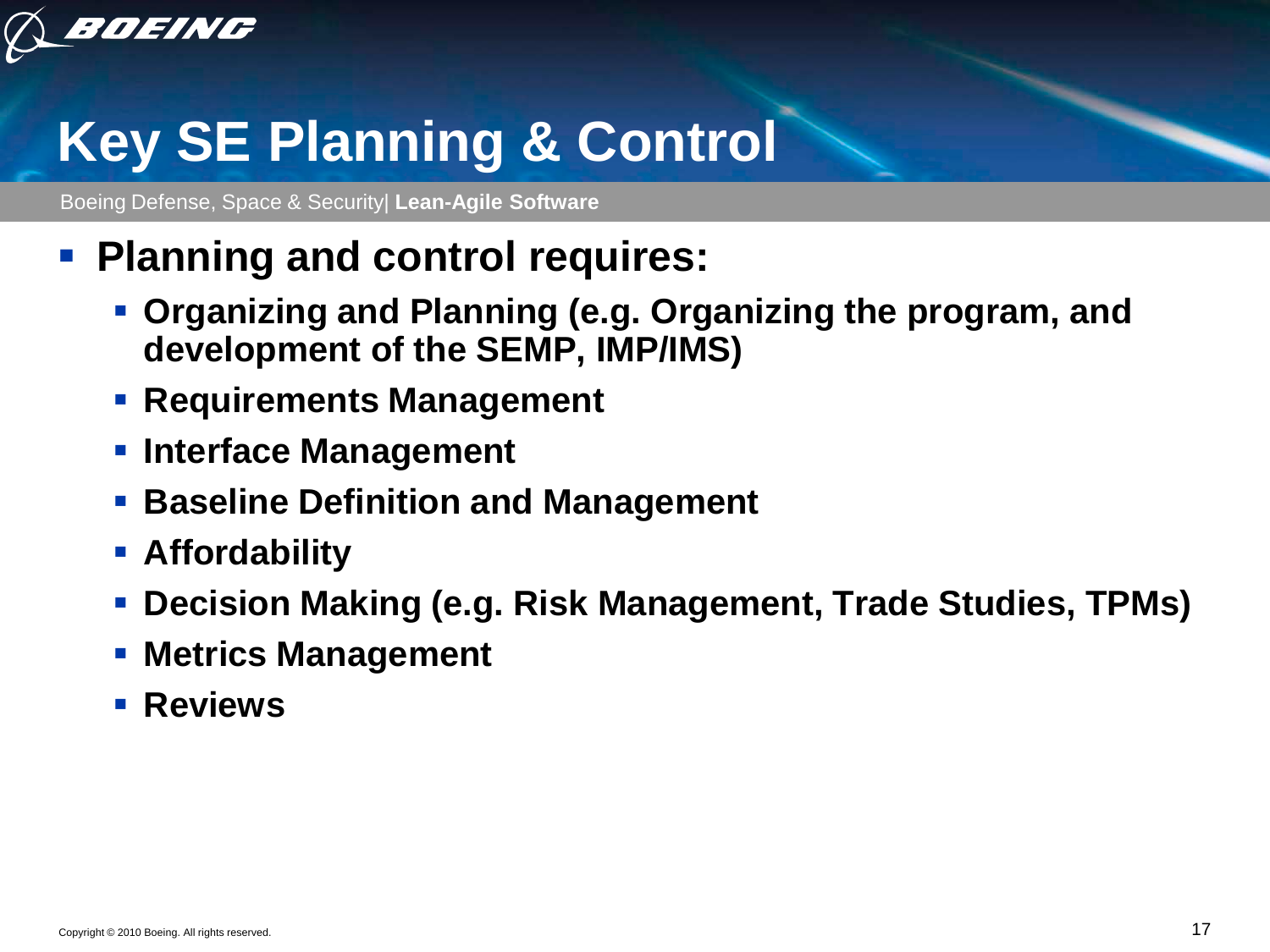

# **Key SE Planning & Control**

Boeing Defense, Space & Security| **Lean-Agile Software**

#### **Planning and control requires:**

- **Organizing and Planning (e.g. Organizing the program, and development of the SEMP, IMP/IMS)**
- **Requirements Management**
- **Interface Management**
- **Baseline Definition and Management**
- **Affordability**
- **Decision Making (e.g. Risk Management, Trade Studies, TPMs)**
- **Metrics Management**
- **Reviews**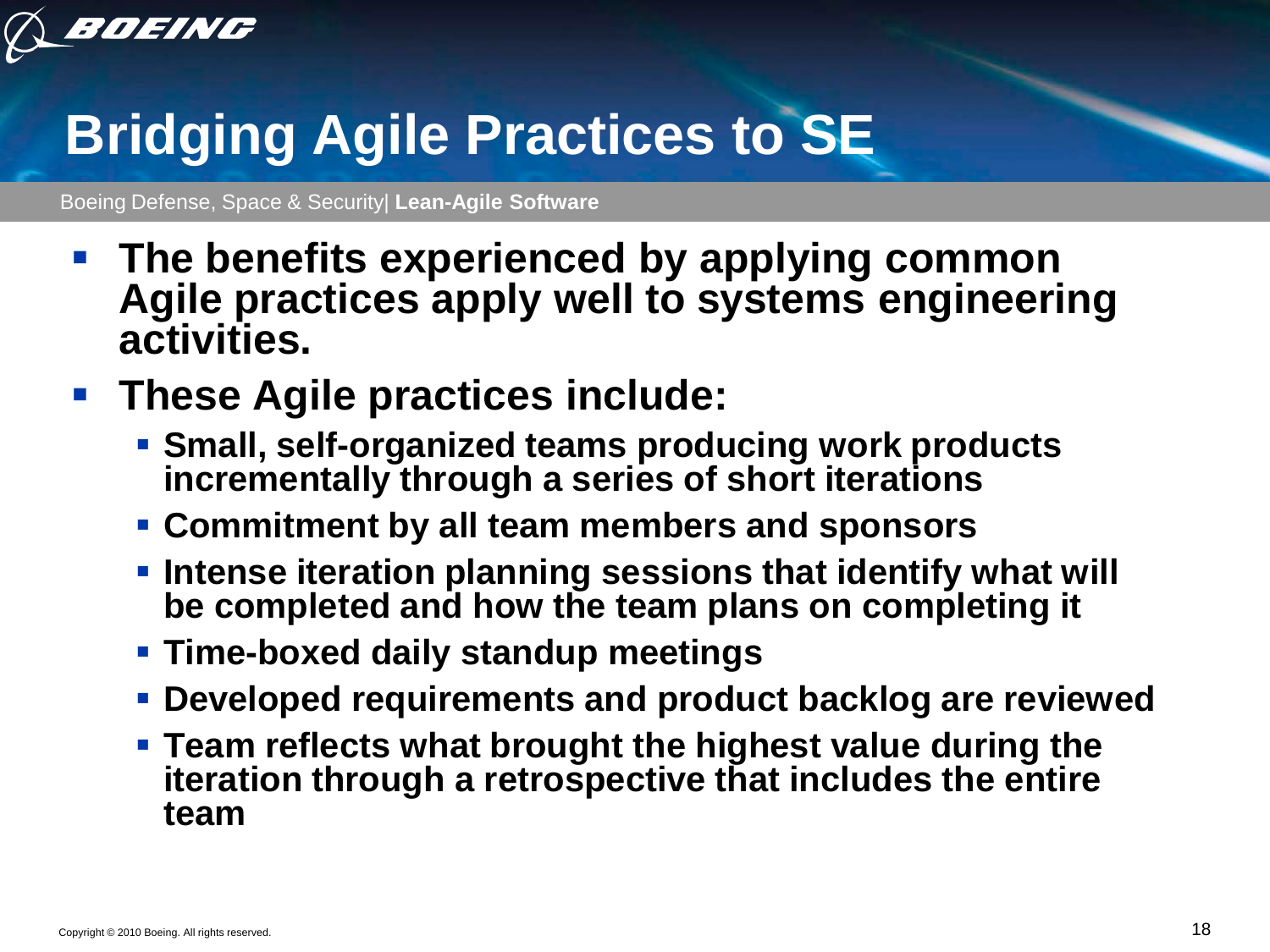

# **Bridging Agile Practices to SE**

Boeing Defense, Space & Security| **Lean-Agile Software**

 **The benefits experienced by applying common Agile practices apply well to systems engineering activities.** 

#### **These Agile practices include:**

- **Small, self-organized teams producing work products incrementally through a series of short iterations**
- **Commitment by all team members and sponsors**
- **Intense iteration planning sessions that identify what will be completed and how the team plans on completing it**
- **Time-boxed daily standup meetings**
- **Developed requirements and product backlog are reviewed**
- **Team reflects what brought the highest value during the iteration through a retrospective that includes the entire team**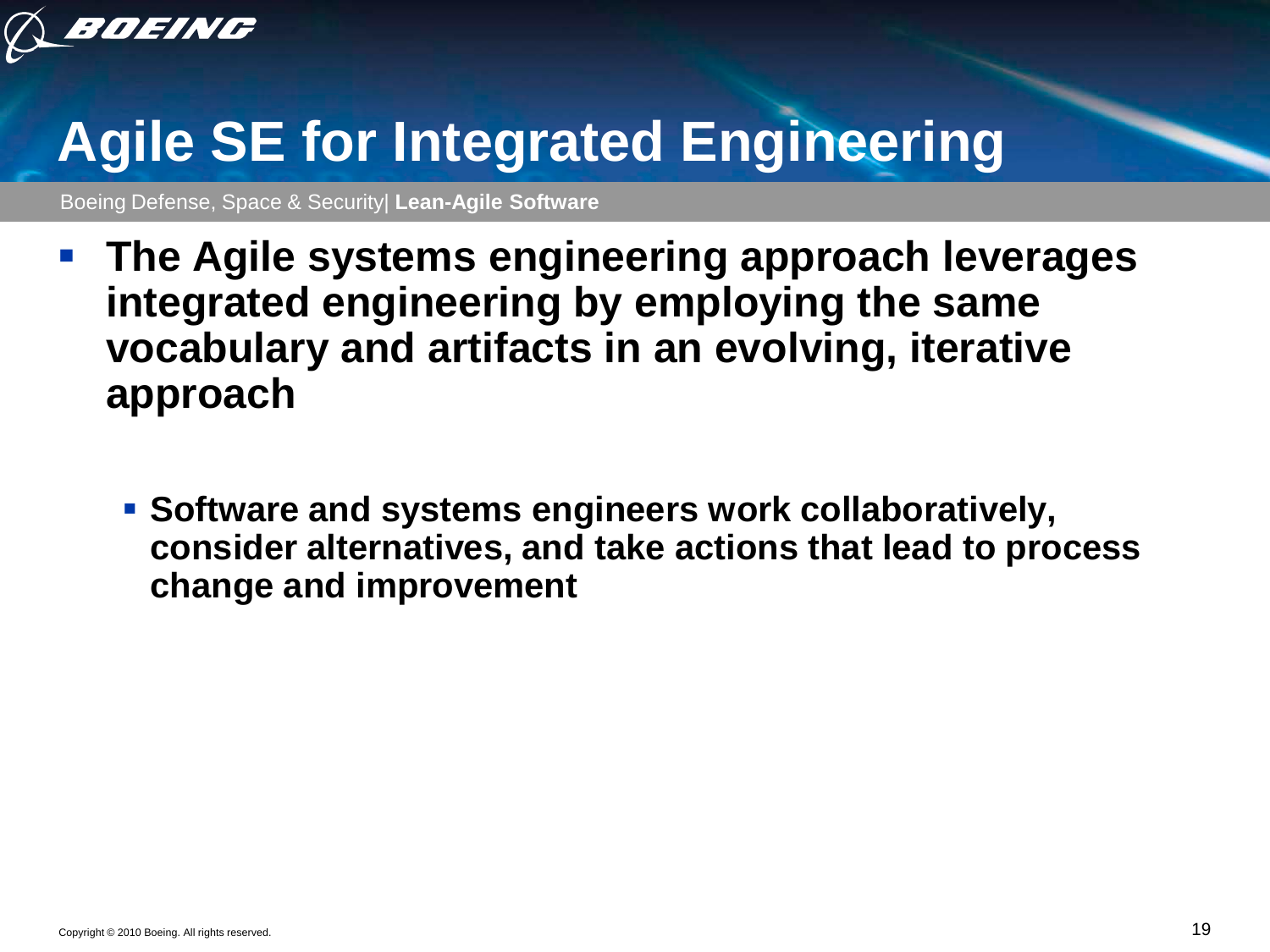

# **Agile SE for Integrated Engineering**

- **The Agile systems engineering approach leverages integrated engineering by employing the same vocabulary and artifacts in an evolving, iterative approach**
	- **Software and systems engineers work collaboratively, consider alternatives, and take actions that lead to process change and improvement**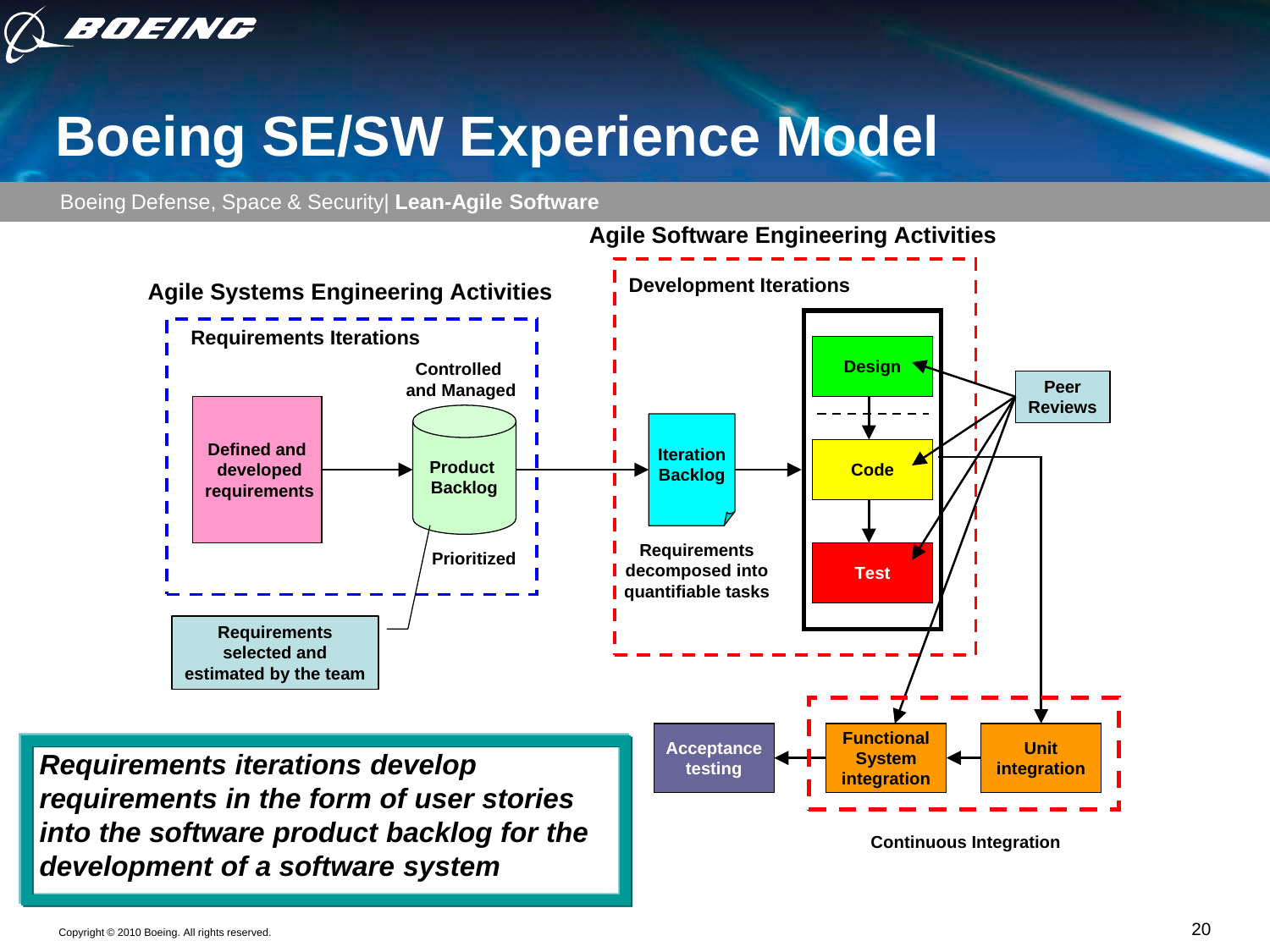

# **Boeing SE/SW Experience Model**

Boeing Defense, Space & Security| **Lean-Agile Software**



**Agile Software Engineering Activities**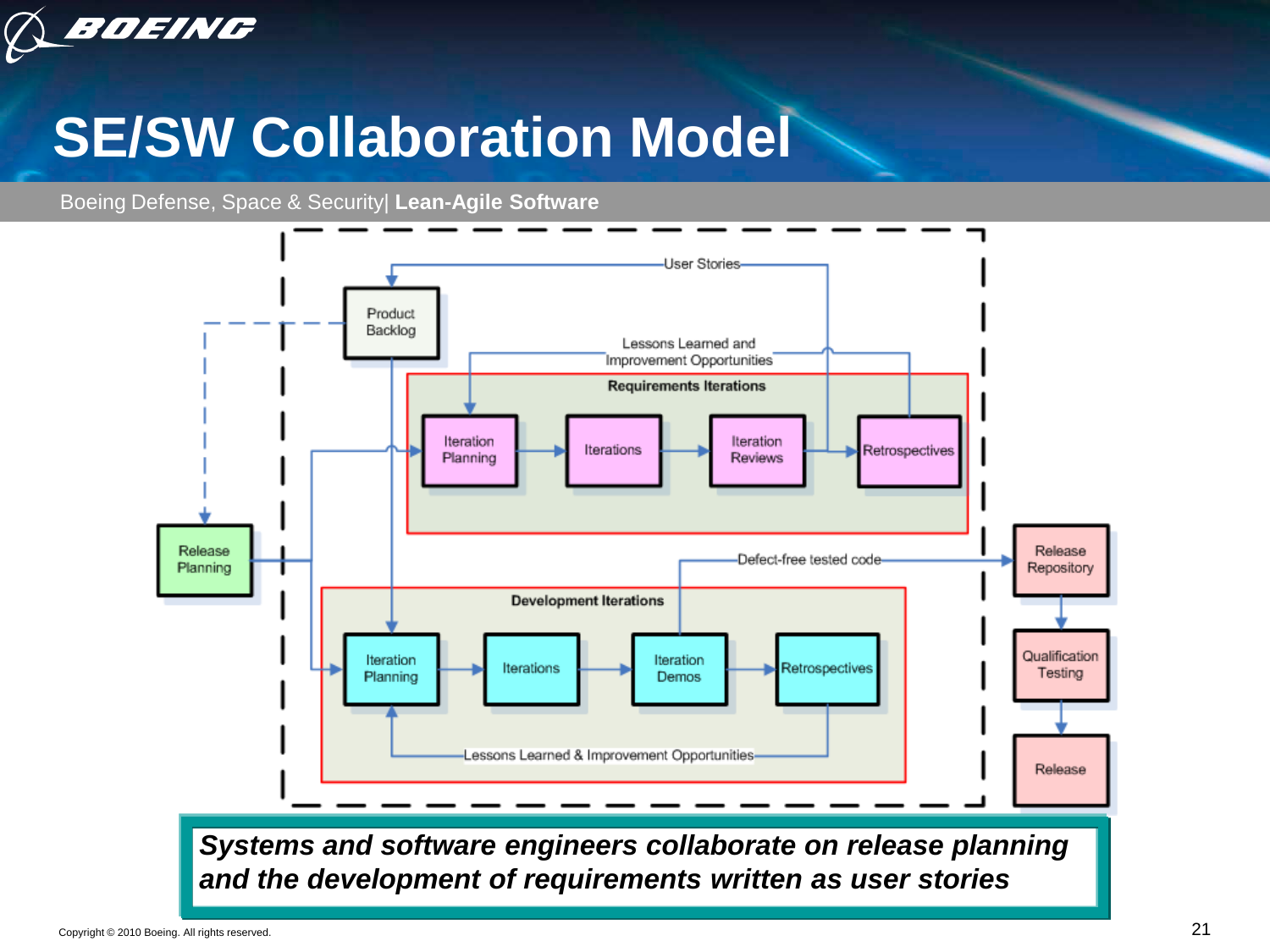

## **SE/SW Collaboration Model**

Boeing Defense, Space & Security| **Lean-Agile Software**



*and the development of requirements written as user stories*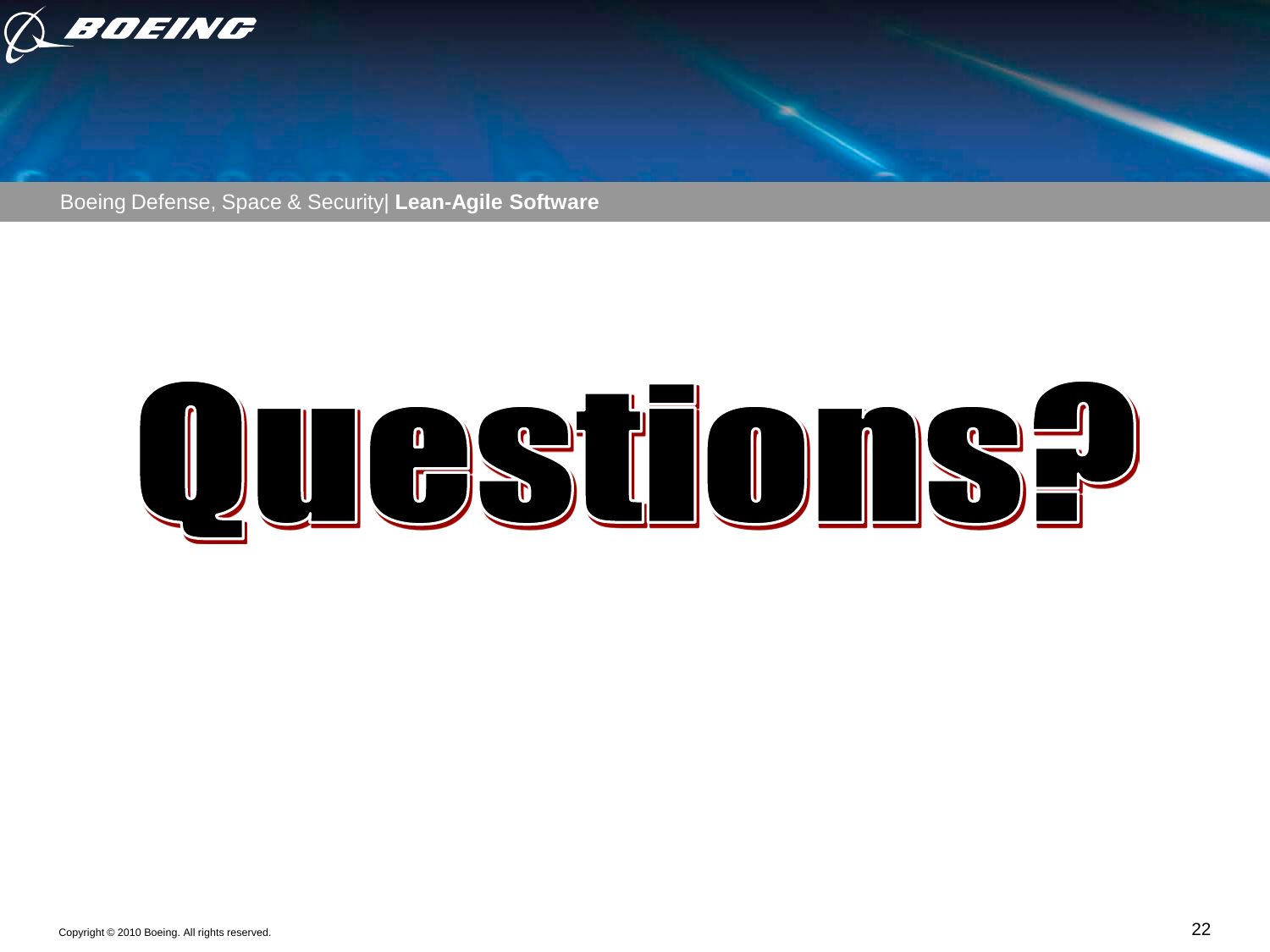

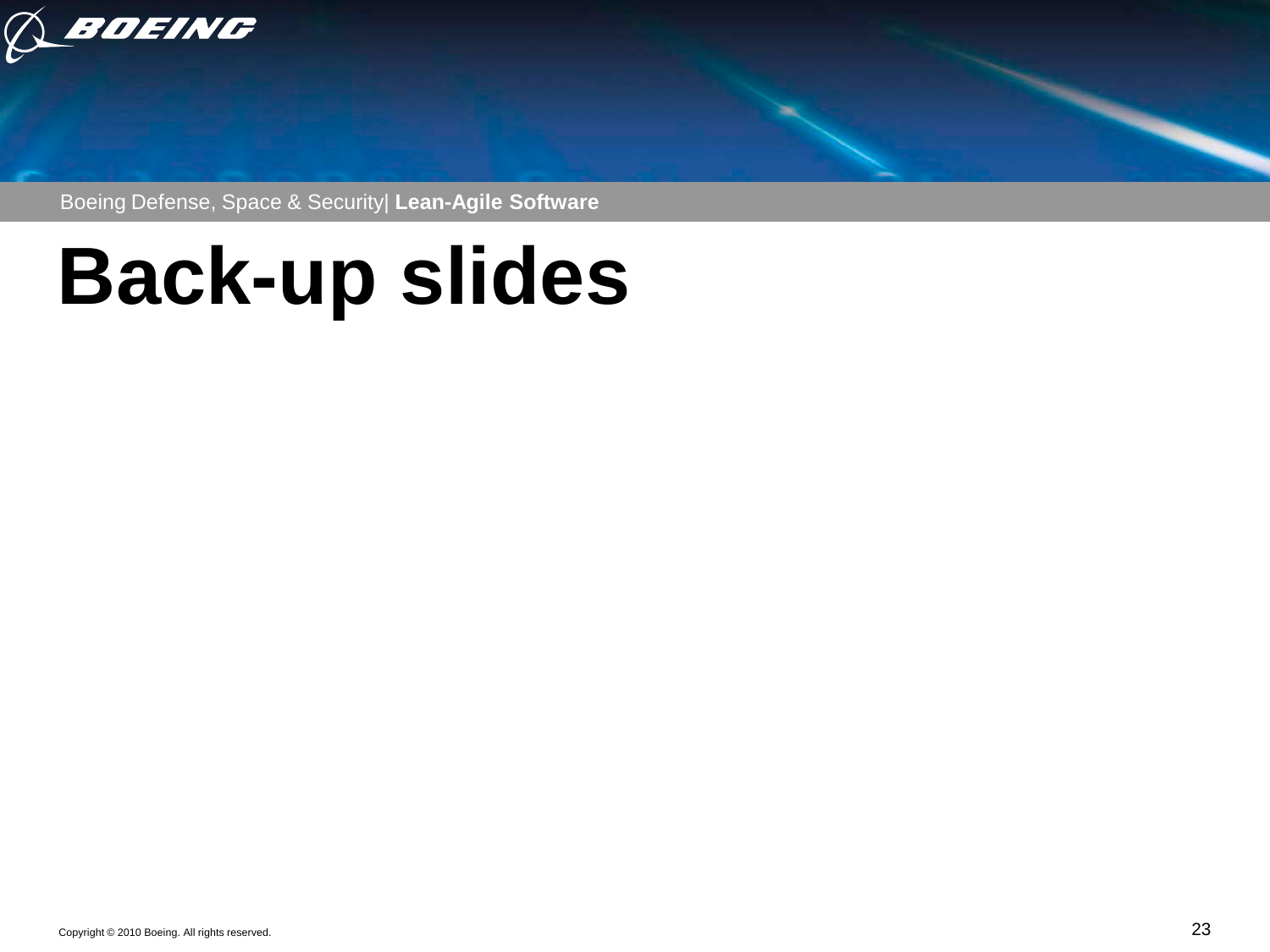

Boeing Defense, Space & Security| **Lean-Agile Software**

# **Back-up slides**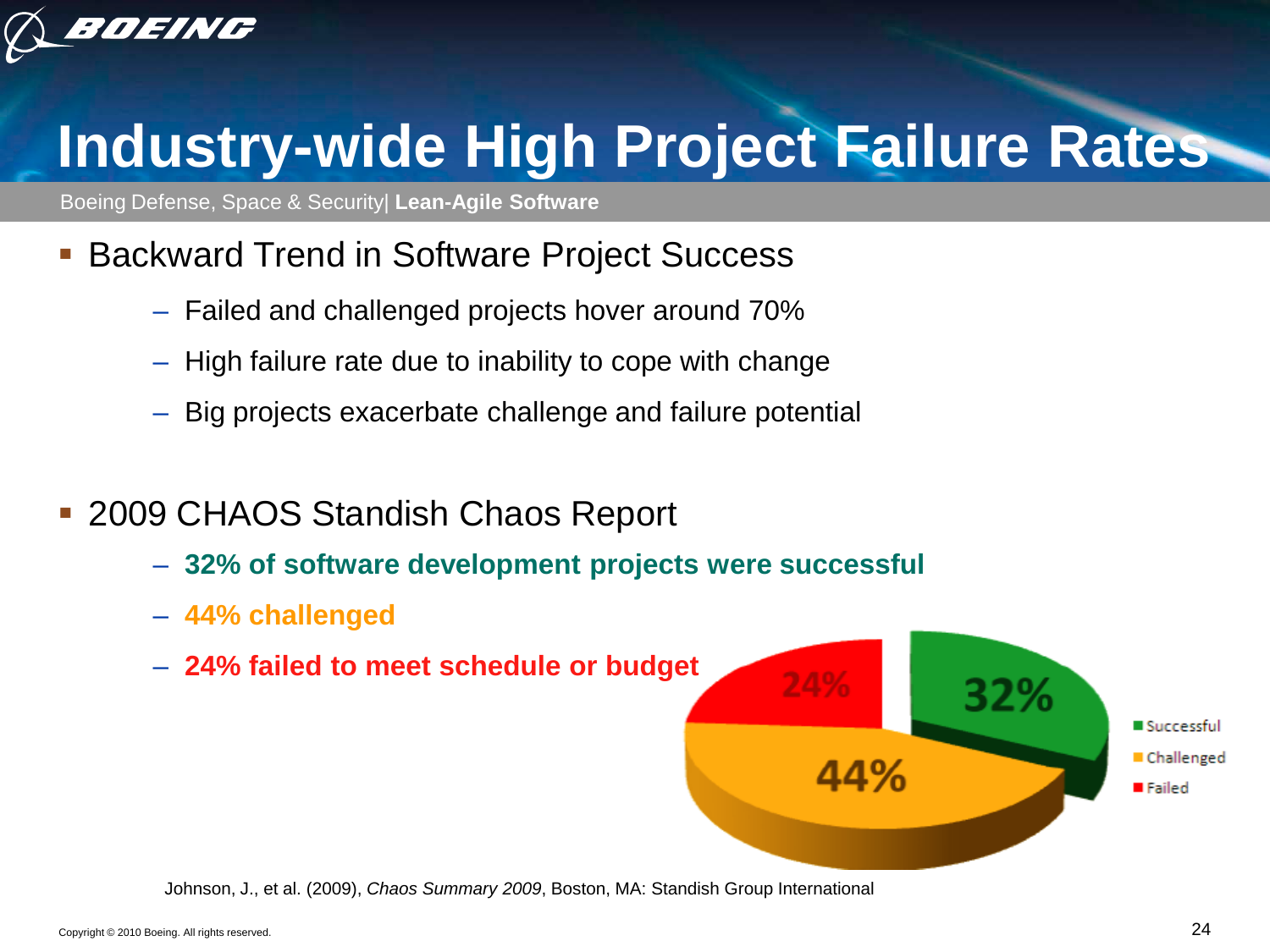

# **Industry-wide High Project Failure Rates**

Boeing Defense, Space & Security| **Lean-Agile Software**

- **Backward Trend in Software Project Success** 
	- Failed and challenged projects hover around 70%
	- High failure rate due to inability to cope with change
	- Big projects exacerbate challenge and failure potential
- 2009 CHAOS Standish Chaos Report
	- **32% of software development projects were successful**
	- **44% challenged**
	- **24% failed to meet schedule or budget**



Johnson, J., et al. (2009), *Chaos Summary 2009*, Boston, MA: Standish Group International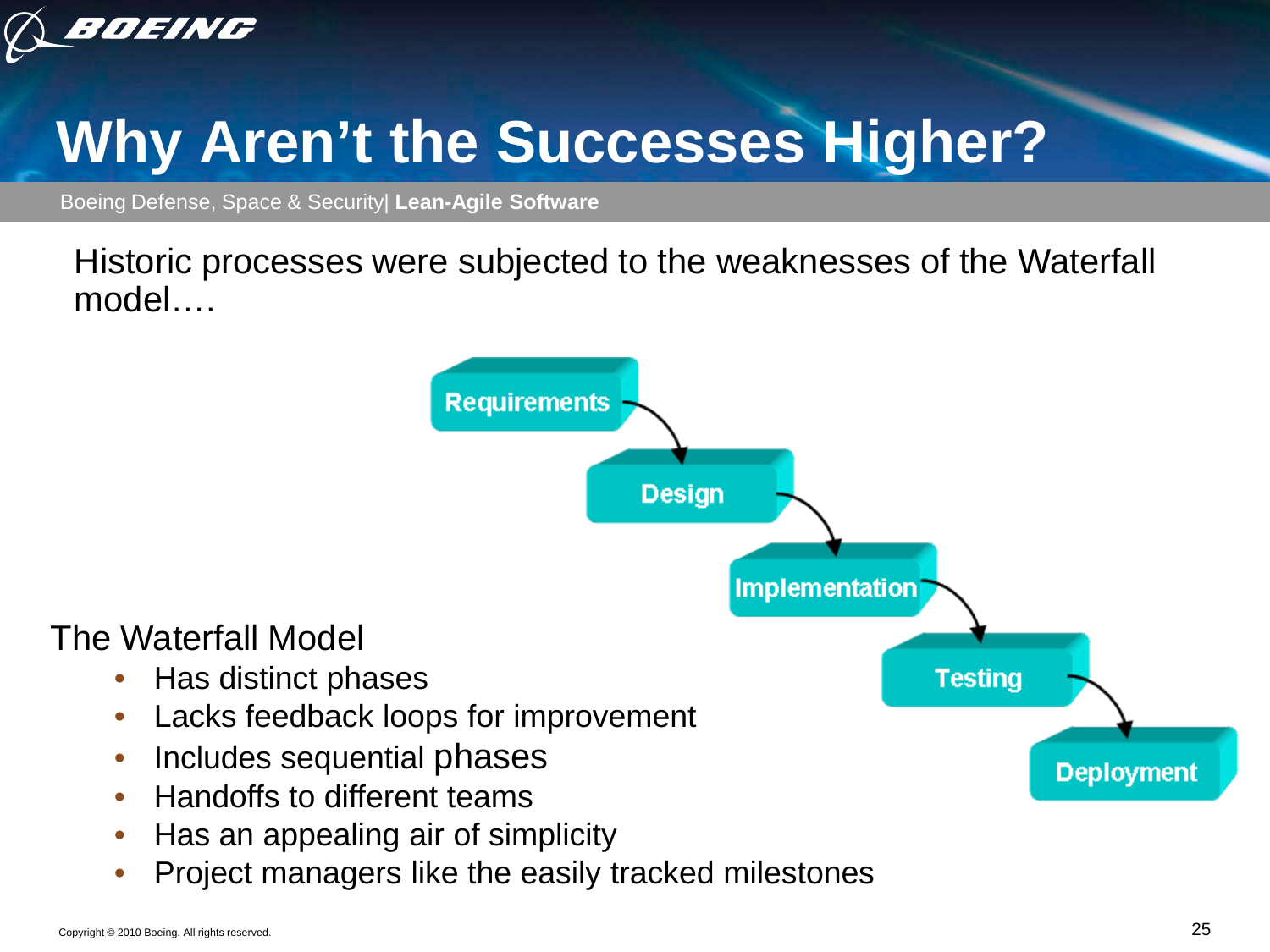

# **Why Aren't the Successes Higher?**

Boeing Defense, Space & Security| **Lean-Agile Software**

Historic processes were subjected to the weaknesses of the Waterfall model….

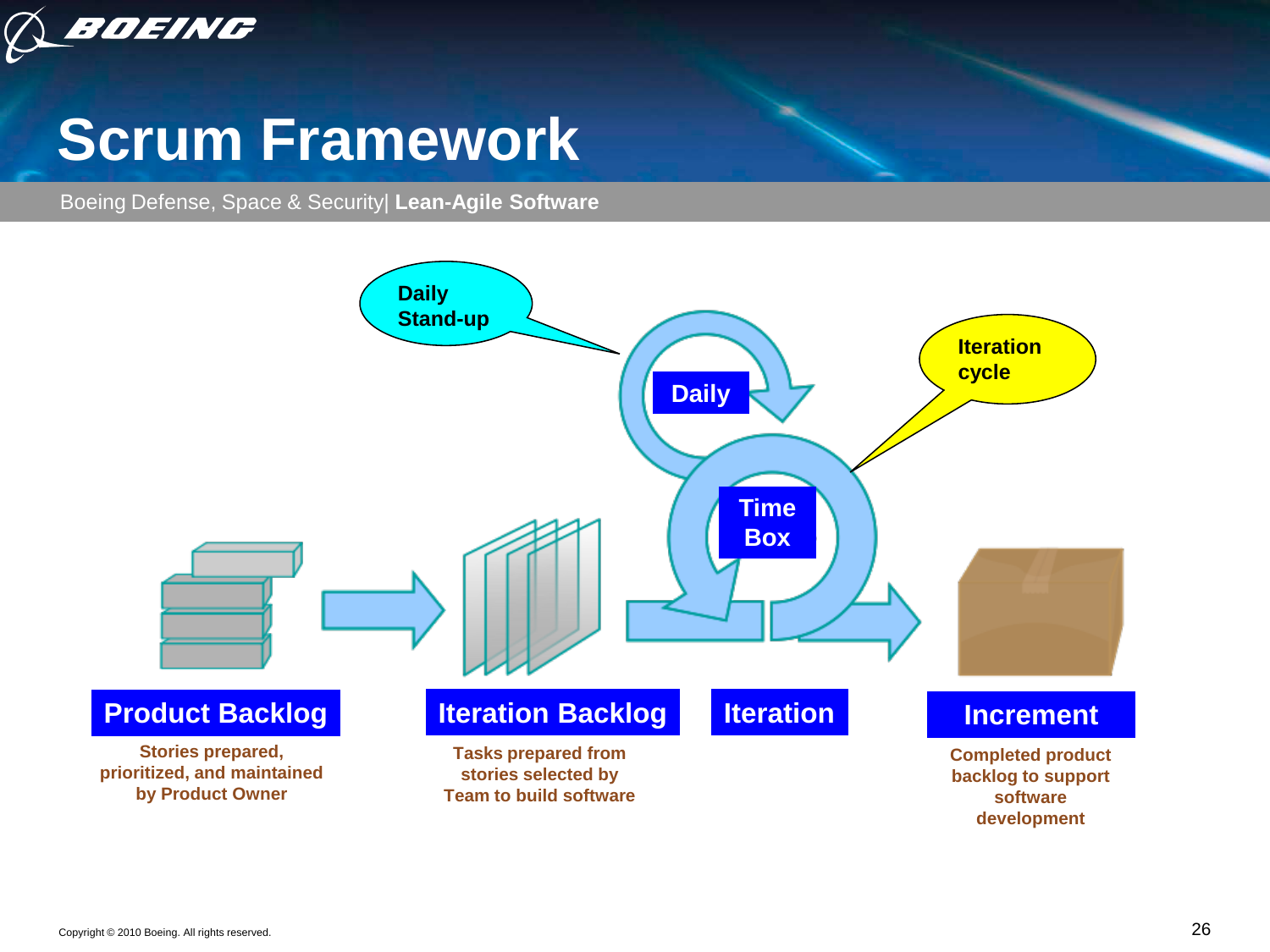

#### **Scrum Framework**